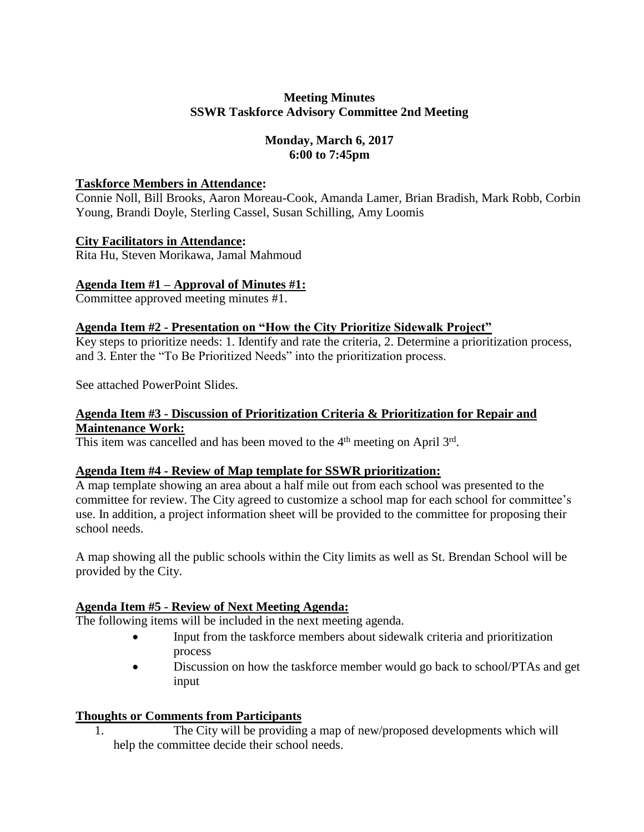## **Meeting Minutes SSWR Taskforce Advisory Committee 2nd Meeting**

## **Monday, March 6, 2017 6:00 to 7:45pm**

## **Taskforce Members in Attendance:**

Connie Noll, Bill Brooks, Aaron Moreau-Cook, Amanda Lamer, Brian Bradish, Mark Robb, Corbin Young, Brandi Doyle, Sterling Cassel, Susan Schilling, Amy Loomis

#### **City Facilitators in Attendance:**

Rita Hu, Steven Morikawa, Jamal Mahmoud

#### **Agenda Item #1 – Approval of Minutes #1:**

Committee approved meeting minutes #1.

#### **Agenda Item #2 - Presentation on "How the City Prioritize Sidewalk Project"**

Key steps to prioritize needs: 1. Identify and rate the criteria, 2. Determine a prioritization process, and 3. Enter the "To Be Prioritized Needs" into the prioritization process.

See attached PowerPoint Slides.

#### **Agenda Item #3 - Discussion of Prioritization Criteria & Prioritization for Repair and Maintenance Work:**

This item was cancelled and has been moved to the  $4<sup>th</sup>$  meeting on April  $3<sup>rd</sup>$ .

## **Agenda Item #4 - Review of Map template for SSWR prioritization:**

A map template showing an area about a half mile out from each school was presented to the committee for review. The City agreed to customize a school map for each school for committee's use. In addition, a project information sheet will be provided to the committee for proposing their school needs.

A map showing all the public schools within the City limits as well as St. Brendan School will be provided by the City.

## **Agenda Item #5 - Review of Next Meeting Agenda:**

The following items will be included in the next meeting agenda.

- Input from the taskforce members about sidewalk criteria and prioritization process
- Discussion on how the taskforce member would go back to school/PTAs and get input

## **Thoughts or Comments from Participants**

1. The City will be providing a map of new/proposed developments which will help the committee decide their school needs.